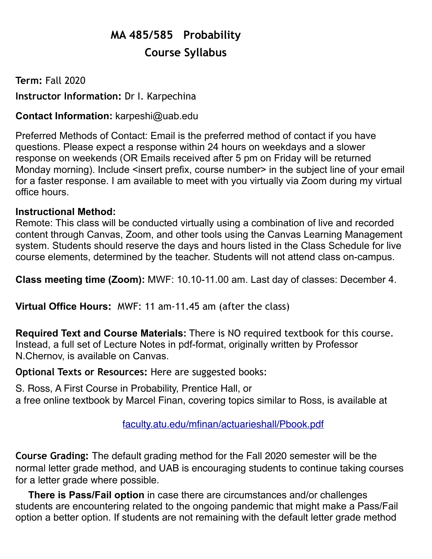# **MA 485/585 Probability Course Syllabus**

# **Term:** Fall 2020 **Instructor Information:** Dr I. Karpechina

# **Contact Information:** [karpeshi@uab.ed](mailto:karpeshi@uab.e)u

Preferred Methods of Contact: Email is the preferred method of contact if you have questions. Please expect a response within 24 hours on weekdays and a slower response on weekends (OR Emails received after 5 pm on Friday will be returned Monday morning). Include <insert prefix, course number> in the subject line of your email for a faster response. I am available to meet with you virtually via Zoom during my virtual office hours.

## **Instructional Method:**

Remote: This class will be conducted virtually using a combination of live and recorded content through Canvas, Zoom, and other tools using the Canvas Learning Management system. Students should reserve the days and hours listed in the Class Schedule for live course elements, determined by the teacher. Students will not attend class on-campus.

**Class meeting time (Zoom):** MWF: 10.10-11.00 am. Last day of classes: December 4.

**Virtual Office Hours:** MWF: 11 am-11.45 am (after the class)

**Required Text and Course Materials:** There is NO required textbook for this course. Instead, a full set of Lecture Notes in pdf-format, originally written by Professor N.Chernov, is available on Canvas.

**Optional Texts or Resources:** Here are suggested books:

S. Ross, A First Course in Probability, Prentice Hall, or a free online textbook by Marcel Finan, covering topics similar to Ross, is available at

## [faculty.atu.edu/mfinan/actuarieshall/Pbook.pdf](http://faculty.atu.edu/mfinan/actuarieshall/Pbook.pdf)

**Course Grading:** The default grading method for the Fall 2020 semester will be the normal letter grade method, and UAB is encouraging students to continue taking courses for a letter grade where possible.

**There is Pass/Fail option** in case there are circumstances and/or challenges students are encountering related to the ongoing pandemic that might make a Pass/Fail option a better option. If students are not remaining with the default letter grade method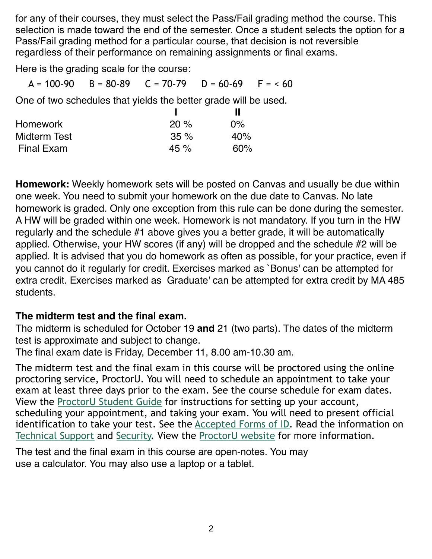for any of their courses, they must select the Pass/Fail grading method the course. This selection is made toward the end of the semester. Once a student selects the option for a Pass/Fail grading method for a particular course, that decision is not reversible regardless of their performance on remaining assignments or final exams.

Here is the grading scale for the course:

 $A = 100-90$  B = 80-89 C = 70-79 D = 60-69 F = < 60

One of two schedules that yields the better grade will be used.

| <b>Homework</b>     | 20%    | $0\%$ |
|---------------------|--------|-------|
| <b>Midterm Test</b> | 35%    | 40%   |
| <b>Final Exam</b>   | 45 $%$ | 60%   |

**Homework:** Weekly homework sets will be posted on Canvas and usually be due within one week. You need to submit your homework on the due date to Canvas. No late homework is graded. Only one exception from this rule can be done during the semester. A HW will be graded within one week. Homework is not mandatory. If you turn in the HW regularly and the schedule #1 above gives you a better grade, it will be automatically applied. Otherwise, your HW scores (if any) will be dropped and the schedule #2 will be applied. It is advised that you do homework as often as possible, for your practice, even if you cannot do it regularly for credit. Exercises marked as `Bonus' can be attempted for extra credit. Exercises marked as Graduate' can be attempted for extra credit by MA 485 students.

#### **The midterm test and the final exam.**

The midterm is scheduled for October 19 **and** 21 (two parts). The dates of the midterm test is approximate and subject to change.

The final exam date is Friday, December 11, 8.00 am-10.30 am.

The midterm test and the final exam in this course will be proctored using the online proctoring service, ProctorU. You will need to schedule an appointment to take your exam at least three days prior to the exam. See the course schedule for exam dates. View the [ProctorU Student Guide](https://www.uab.edu/elearning/images/canvas/ProctorU_-_How_it_Works_-_TEST-TAKER_UABSH_3_1.compressed.pdf) for instructions for setting up your account, scheduling your appointment, and taking your exam. You will need to present official identification to take your test. See the [Accepted Forms of ID.](https://www.uab.edu/elearning/images/canvas/ProctorU_UAB_Acceptable_Documents.pdf) Read the information on [Technical Support](https://www.uab.edu/elearning/images/ProctorU/UABTechnicalIssues.pdf) and [Security.](https://www.uab.edu/elearning/images/canvas/Security_Handout_1.pdf) View the [ProctorU website](https://www.proctoru.com/?gclid=EAIaIQobChMIh_OV97Kb2AIVDBeBCh08-QarEAAYASAAEgJAzfD_BwE) for more information.

The test and the final exam in this course are open-notes. You may use a calculator. You may also use a laptop or a tablet.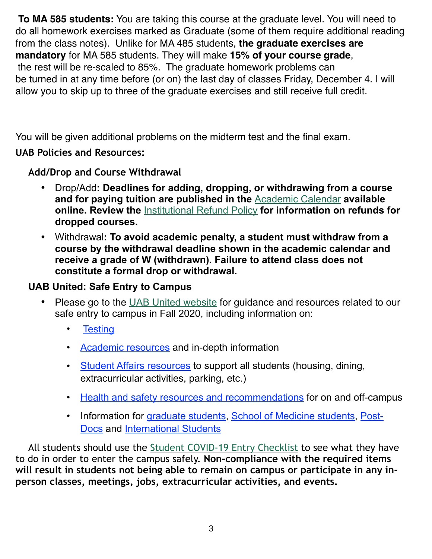**To MA 585 students:** You are taking this course at the graduate level. You will need to do all homework exercises marked as Graduate (some of them require additional reading from the class notes). Unlike for MA 485 students, **the graduate exercises are mandatory** for MA 585 students. They will make **15% of your course grade**, the rest will be re-scaled to 85%. The graduate homework problems can be turned in at any time before (or on) the last day of classes Friday, December 4. I will allow you to skip up to three of the graduate exercises and still receive full credit.

You will be given additional problems on the midterm test and the final exam.

## **UAB Policies and Resources:**

**Add/Drop and Course Withdrawal** 

- **•** Drop/Add**: Deadlines for adding, dropping, or withdrawing from a course and for paying tuition are published in the** [Academic Calendar](https://www.uab.edu/students/academics/academic-calendar) **available online. Review the** [Institutional Refund Policy](https://www.uab.edu/students/one-stop/policies/institutional-refund-policy) **for information on refunds for dropped courses.**
- **•** Withdrawal**: To avoid academic penalty, a student must withdraw from a course by the withdrawal deadline shown in the academic calendar and receive a grade of W (withdrawn). Failure to attend class does not constitute a formal drop or withdrawal.**

# **UAB United: Safe Entry to Campus**

- **•** Please go to the [UAB United website](https://www.uab.edu/uabunited/students) for guidance and resources related to our safe entry to campus in Fall 2020, including information on:
	- [Testing](https://www.uab.edu/uabunited/students/testing)
	- [Academic resources](https://www.uab.edu/uabunited/students/academics) and in-depth information
	- [Student Affairs resources](https://www.uab.edu/uabunited/students/student-affairs) to support all students (housing, dining, extracurricular activities, parking, etc.)
	- [Health and safety resources and recommendations](https://www.uab.edu/uabunited/students/health-safety) for on and off-campus
	- [Information for](https://www.uab.edu/postdocs/covid-19) [graduate student](https://www.uab.edu/graduate/about/graduate-school-covid-19-updates)[s,](https://www.uab.edu/postdocs/covid-19) [School of Medicine student](https://www.uab.edu/medicine/home/covid-19-updates)[s, Post-](https://www.uab.edu/postdocs/covid-19)Docs and [International Students](https://www.uab.edu/global/about/programs-services/isss/faqs-concerning-recent-sevp-guidance-and-covid-19-planning)

All students should use the [Student COVID-19 Entry Checklist](https://www.uab.edu/uabunited/entry-checklists#student-checklist) to see what they have to do in order to enter the campus safely. **Non-compliance with the required items will result in students not being able to remain on campus or participate in any inperson classes, meetings, jobs, extracurricular activities, and events.**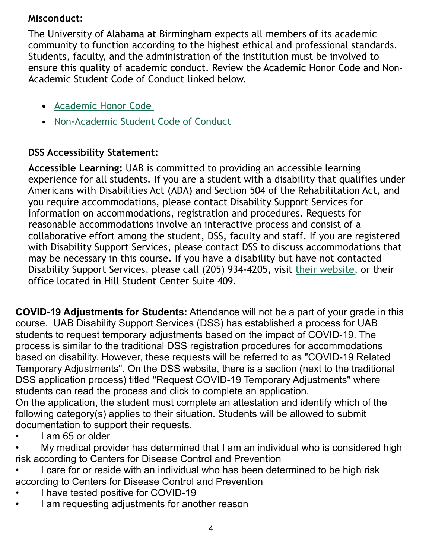## **Misconduct:**

The University of Alabama at Birmingham expects all members of its academic community to function according to the highest ethical and professional standards. Students, faculty, and the administration of the institution must be involved to ensure this quality of academic conduct. Review the Academic Honor Code and Non-Academic Student Code of Conduct linked below.

- **•** [Academic Honor Code](http://www.uab.edu/students/one-stop/policies/academic-honor-code)
- [Non-Academic Student Code of Conduct](http://www.uab.edu/studentconduct)

## **DSS Accessibility Statement:**

**Accessible Learning:** UAB is committed to providing an accessible learning experience for all students. If you are a student with a disability that qualifies under Americans with Disabilities Act (ADA) and Section 504 of the Rehabilitation Act, and you require accommodations, please contact Disability Support Services for information on accommodations, registration and procedures. Requests for reasonable accommodations involve an interactive process and consist of a collaborative effort among the student, DSS, faculty and staff. If you are registered with Disability Support Services, please contact DSS to discuss accommodations that may be necessary in this course. If you have a disability but have not contacted Disability Support Services, please call (205) 934-4205, visit [their website,](http://www.uab.edu/dss) or their office located in Hill Student Center Suite 409.

**COVID-19 Adjustments for Students:** Attendance will not be a part of your grade in this course. UAB Disability Support Services (DSS) has established a process for UAB students to request temporary adjustments based on the impact of COVID-19. The process is similar to the traditional DSS registration procedures for accommodations based on disability. However, these requests will be referred to as "COVID-19 Related Temporary Adjustments". On the DSS website, there is a section (next to the traditional DSS application process) titled "Request COVID-19 Temporary Adjustments" where students can read the process and click to complete an application.

On the application, the student must complete an attestation and identify which of the following category(s) applies to their situation. Students will be allowed to submit documentation to support their requests.

- I am 65 or older
- My medical provider has determined that I am an individual who is considered high risk according to Centers for Disease Control and Prevention
- I care for or reside with an individual who has been determined to be high risk according to Centers for Disease Control and Prevention
- I have tested positive for COVID-19
- I am requesting adjustments for another reason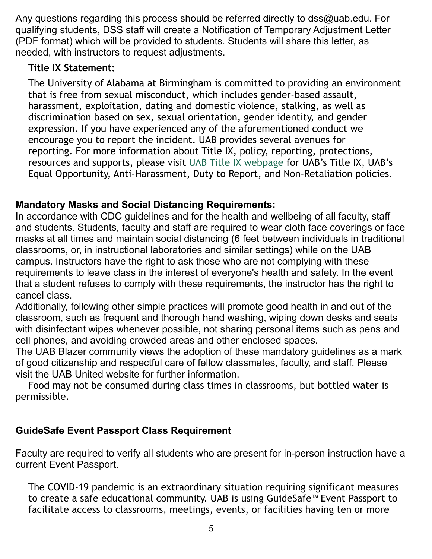Any questions regarding this process should be referred directly to dss@uab.edu. For qualifying students, DSS staff will create a Notification of Temporary Adjustment Letter (PDF format) which will be provided to students. Students will share this letter, as needed, with instructors to request adjustments.

## **Title IX Statement:**

The University of Alabama at Birmingham is committed to providing an environment that is free from sexual misconduct, which includes gender-based assault, harassment, exploitation, dating and domestic violence, stalking, as well as discrimination based on sex, sexual orientation, gender identity, and gender expression. If you have experienced any of the aforementioned conduct we encourage you to report the incident. UAB provides several avenues for reporting. For more information about Title IX, policy, reporting, protections, resources and supports, please visit [UAB Title IX webpage](http://www.uab.edu/titleix) for UAB's Title IX, UAB's Equal Opportunity, Anti-Harassment, Duty to Report, and Non-Retaliation policies.

## **Mandatory Masks and Social Distancing Requirements:**

In accordance with CDC guidelines and for the health and wellbeing of all faculty, staff and students. Students, faculty and staff are required to wear cloth face coverings or face masks at all times and maintain social distancing (6 feet between individuals in traditional classrooms, or, in instructional laboratories and similar settings) while on the UAB campus. Instructors have the right to ask those who are not complying with these requirements to leave class in the interest of everyone's health and safety. In the event that a student refuses to comply with these requirements, the instructor has the right to cancel class.

Additionally, following other simple practices will promote good health in and out of the classroom, such as frequent and thorough hand washing, wiping down desks and seats with disinfectant wipes whenever possible, not sharing personal items such as pens and cell phones, and avoiding crowded areas and other enclosed spaces.

The UAB Blazer community views the adoption of these mandatory guidelines as a mark of good citizenship and respectful care of fellow classmates, faculty, and staff. Please visit the UAB United website for further information.

Food may not be consumed during class times in classrooms, but bottled water is permissible.

## **GuideSafe Event Passport Class Requirement**

Faculty are required to verify all students who are present for in-person instruction have a current Event Passport.

The COVID-19 pandemic is an extraordinary situation requiring significant measures to create a safe educational community. UAB is using GuideSafe™ Event Passport to facilitate access to classrooms, meetings, events, or facilities having ten or more